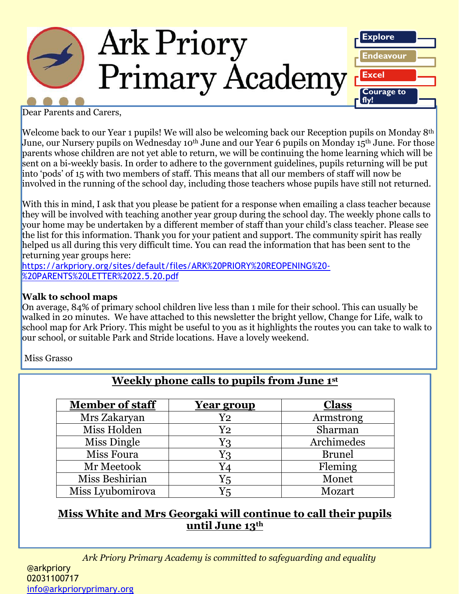

Dear Parents and Carers,

Welcome back to our Year 1 pupils! We will also be welcoming back our Reception pupils on Monday 8th June, our Nursery pupils on Wednesday 10<sup>th</sup> June and our Year 6 pupils on Monday 15<sup>th</sup> June. For those parents whose children are not yet able to return, we will be continuing the home learning which will be sent on a bi-weekly basis. In order to adhere to the government guidelines, pupils returning will be put into 'pods' of 15 with two members of staff. This means that all our members of staff will now be involved in the running of the school day, including those teachers whose pupils have still not returned.

With this in mind, I ask that you please be patient for a response when emailing a class teacher because they will be involved with teaching another year group during the school day. The weekly phone calls to your home may be undertaken by a different member of staff than your child's class teacher. Please see the list for this information. Thank you for your patient and support. The community spirit has really helped us all during this very difficult time. You can read the information that has been sent to the returning year groups here:

[https://arkpriory.org/sites/default/files/ARK%20PRIORY%20REOPENING%20-](https://arkpriory.org/sites/default/files/ARK%20PRIORY%20REOPENING%20-%20PARENTS%20LETTER%2022.5.20.pdf) [%20PARENTS%20LETTER%2022.5.20.pdf](https://arkpriory.org/sites/default/files/ARK%20PRIORY%20REOPENING%20-%20PARENTS%20LETTER%2022.5.20.pdf)

### **Walk to school maps**

On average, 84% of primary school children live less than 1 mile for their school. This can usually be walked in 20 minutes. We have attached to this newsletter the bright yellow, Change for Life, walk to school map for Ark Priory. This might be useful to you as it highlights the routes you can take to walk to our school, or suitable Park and Stride locations. Have a lovely weekend.

Miss Grasso

| <b>Member of staff</b> | <u>Year group</u>   | <b>Class</b>  |
|------------------------|---------------------|---------------|
| Mrs Zakaryan           | $\operatorname{Y2}$ | Armstrong     |
| Miss Holden            | $\operatorname{Y2}$ | Sharman       |
| Miss Dingle            | Y3                  | Archimedes    |
| Miss Foura             | Y3                  | <b>Brunel</b> |
| Mr Meetook             | Y4                  | Fleming       |
| Miss Beshirian         | Y5                  | Monet         |
| Miss Lyubomirova       | $Y_5$               | Mozart        |

# **Weekly phone calls to pupils from June 1st**

### **Miss White and Mrs Georgaki will continue to call their pupils until June 13th**

*Ark Priory Primary Academy is committed to safeguarding and equality*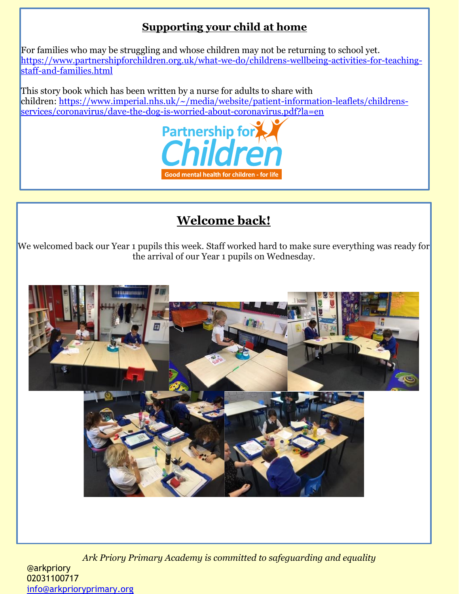## **Supporting your child at home**

For families who may be struggling and whose children may not be returning to school yet. [https://www.partnershipforchildren.org.uk/what-we-do/childrens-wellbeing-activities-for-teaching](https://www.partnershipforchildren.org.uk/what-we-do/childrens-wellbeing-activities-for-teaching-staff-and-families.html)[staff-and-families.html](https://www.partnershipforchildren.org.uk/what-we-do/childrens-wellbeing-activities-for-teaching-staff-and-families.html)

This story book which has been written by a nurse for adults to share with children: [https://www.imperial.nhs.uk/~/media/website/patient-information-leaflets/childrens](https://www.imperial.nhs.uk/~/media/website/patient-information-leaflets/childrens-services/coronavirus/dave-the-dog-is-worried-about-coronavirus.pdf?la=en)[services/coronavirus/dave-the-dog-is-worried-about-coronavirus.pdf?la=en](https://www.imperial.nhs.uk/~/media/website/patient-information-leaflets/childrens-services/coronavirus/dave-the-dog-is-worried-about-coronavirus.pdf?la=en)



# **Welcome back!**

We welcomed back our Year 1 pupils this week. Staff worked hard to make sure everything was ready for the arrival of our Year 1 pupils on Wednesday.



*Ark Priory Primary Academy is committed to safeguarding and equality*  @arkpriory 02031100717 [info@arkprioryprimary.org](mailto:info@arkprioryprimary.org)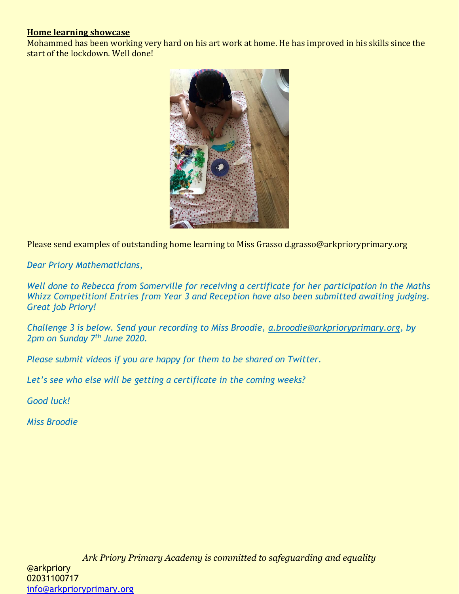### **Home learning showcase**

Mohammed has been working very hard on his art work at home. He has improved in his skills since the start of the lockdown. Well done!



Please send examples of outstanding home learning to Miss Grass[o d.grasso@arkprioryprimary.org](mailto:d.grasso@arkprioryprimary.org)

*Dear Priory Mathematicians,*

*Well done to Rebecca from Somerville for receiving a certificate for her participation in the Maths Whizz Competition! Entries from Year 3 and Reception have also been submitted awaiting judging. Great job Priory!*

*Challenge 3 is below. Send your recording to Miss Broodie, [a.broodie@arkprioryprimary.org,](mailto:a.broodie@arkprioryprimary.org) by 2pm on Sunday 7th June 2020.* 

*Please submit videos if you are happy for them to be shared on Twitter.*

*Let's see who else will be getting a certificate in the coming weeks?*

*Good luck!*

*Miss Broodie*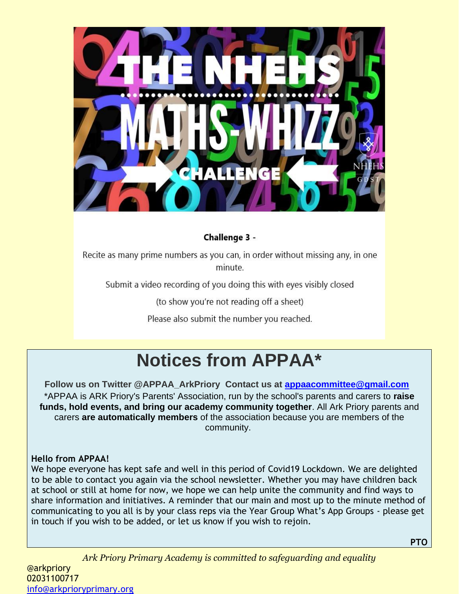

### Challenge 3 -

Recite as many prime numbers as you can, in order without missing any, in one minute.

Submit a video recording of you doing this with eyes visibly closed

(to show you're not reading off a sheet)

Please also submit the number you reached.

# **Notices from APPAA\***

**Follow us on Twitter @APPAA\_ArkPriory Contact us at [appaacommittee@gmail.com](mailto:appaacommittee@gmail.com)** \*APPAA is ARK Priory's Parents' Association, run by the school's parents and carers to **raise funds, hold events, and bring our academy community together**. All Ark Priory parents and carers **are automatically members** of the association because you are members of the community.

### **Hello from APPAA!**

We hope everyone has kept safe and well in this period of Covid19 Lockdown. We are delighted to be able to contact you again via the school newsletter. Whether you may have children back at school or still at home for now, we hope we can help unite the community and find ways to share information and initiatives. A reminder that our main and most up to the minute method of communicating to you all is by your class reps via the Year Group What's App Groups - please get in touch if you wish to be added, or let us know if you wish to rejoin.

**PTO**

*Ark Priory Primary Academy is committed to safeguarding and equality*  @arkpriory 02031100717 [info@arkprioryprimary.org](mailto:info@arkprioryprimary.org)